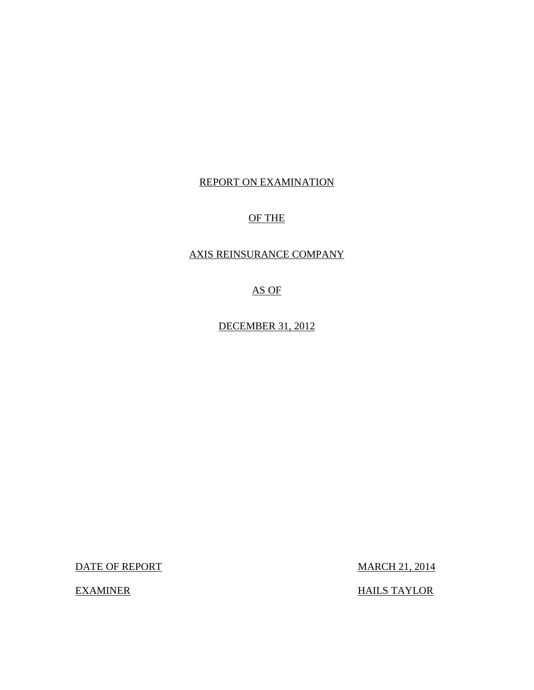### REPORT ON EXAMINATION

### OF THE

### AXIS REINSURANCE COMPANY

AS OF

DECEMBER 31, 2012

DATE OF REPORT MARCH 21, 2014

EXAMINER HAILS TAYLOR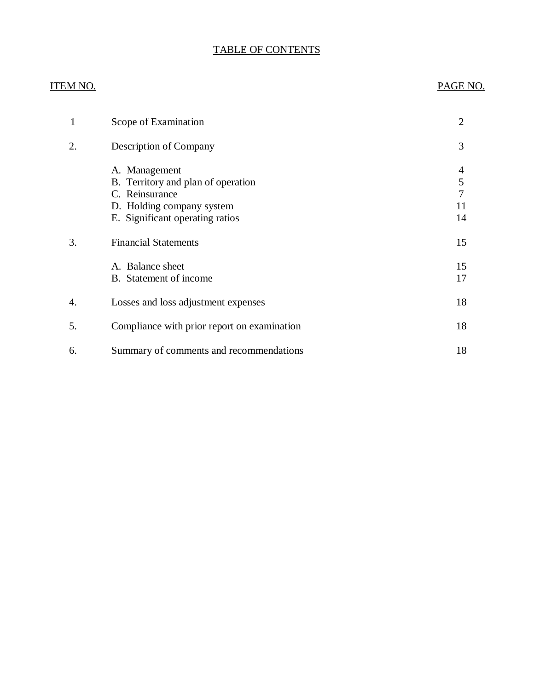### TABLE OF CONTENTS

### ITEM NO. PAGE NO.

| 1  | Scope of Examination                                                                                                                  | $\overline{2}$          |
|----|---------------------------------------------------------------------------------------------------------------------------------------|-------------------------|
| 2. | Description of Company                                                                                                                | 3                       |
|    | A. Management<br>B. Territory and plan of operation<br>C. Reinsurance<br>D. Holding company system<br>E. Significant operating ratios | 4<br>5<br>7<br>11<br>14 |
| 3. | <b>Financial Statements</b>                                                                                                           | 15                      |
|    | A. Balance sheet<br>B. Statement of income                                                                                            | 15<br>17                |
| 4. | Losses and loss adjustment expenses                                                                                                   | 18                      |
| 5. | Compliance with prior report on examination                                                                                           | 18                      |
| 6. | Summary of comments and recommendations                                                                                               | 18                      |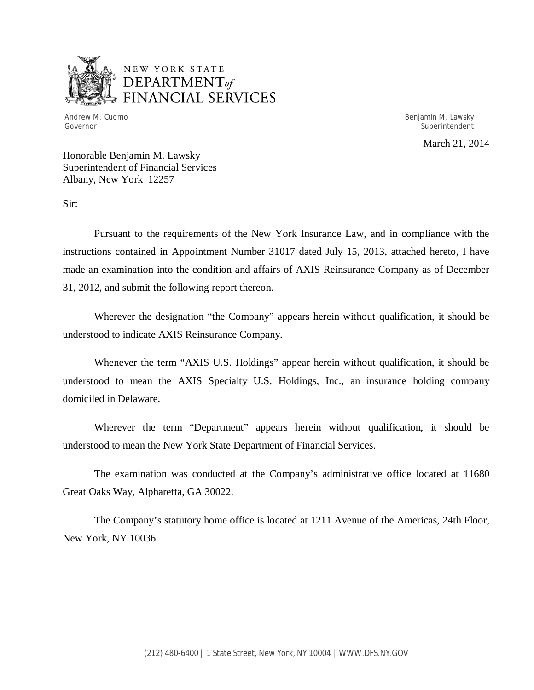

### NEW YORK STATE *DEPARTMENTof*  FINANCIAL SERVICES

Andrew M. Cuomo **Benjamin M. Lawsky** Governor Superintendent Superintendent Superintendent Superintendent Superintendent Superintendent Superintendent

March 21, 2014

Honorable Benjamin M. Lawsky Superintendent of Financial Services Albany, New York 12257

Sir:

Pursuant to the requirements of the New York Insurance Law, and in compliance with the instructions contained in Appointment Number 31017 dated July 15, 2013, attached hereto, I have made an examination into the condition and affairs of AXIS Reinsurance Company as of December 31, 2012, and submit the following report thereon.

Wherever the designation "the Company" appears herein without qualification, it should be understood to indicate AXIS Reinsurance Company.

Whenever the term "AXIS U.S. Holdings" appear herein without qualification, it should be understood to mean the AXIS Specialty U.S. Holdings, Inc., an insurance holding company domiciled in Delaware.

Wherever the term "Department" appears herein without qualification, it should be understood to mean the New York State Department of Financial Services.

The examination was conducted at the Company's administrative office located at 11680 Great Oaks Way, Alpharetta, GA 30022.

The Company's statutory home office is located at 1211 Avenue of the Americas, 24th Floor, New York, NY 10036.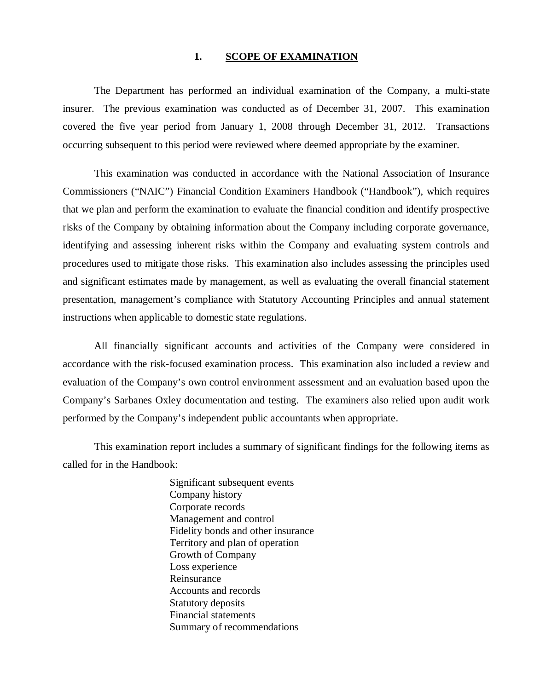#### 1. SCOPE OF EXAMINATION

The Department has performed an individual examination of the Company*,* a multi-state insurer. The previous examination was conducted as of December 31, 2007. This examination covered the five year period from January 1, 2008 through December 31, 2012. Transactions occurring subsequent to this period were reviewed where deemed appropriate by the examiner.

This examination was conducted in accordance with the National Association of Insurance Commissioners ("NAIC") Financial Condition Examiners Handbook ("Handbook"), which requires that we plan and perform the examination to evaluate the financial condition and identify prospective risks of the Company by obtaining information about the Company including corporate governance, identifying and assessing inherent risks within the Company and evaluating system controls and procedures used to mitigate those risks. This examination also includes assessing the principles used and significant estimates made by management, as well as evaluating the overall financial statement presentation, management's compliance with Statutory Accounting Principles and annual statement instructions when applicable to domestic state regulations.

All financially significant accounts and activities of the Company were considered in accordance with the risk-focused examination process. This examination also included a review and evaluation of the Company's own control environment assessment and an evaluation based upon the Company's Sarbanes Oxley documentation and testing. The examiners also relied upon audit work performed by the Company's independent public accountants when appropriate.

This examination report includes a summary of significant findings for the following items as called for in the Handbook:

> Significant subsequent events Company history Corporate records Management and control Fidelity bonds and other insurance Territory and plan of operation Growth of Company Loss experience Reinsurance Accounts and records Statutory deposits Financial statements Summary of recommendations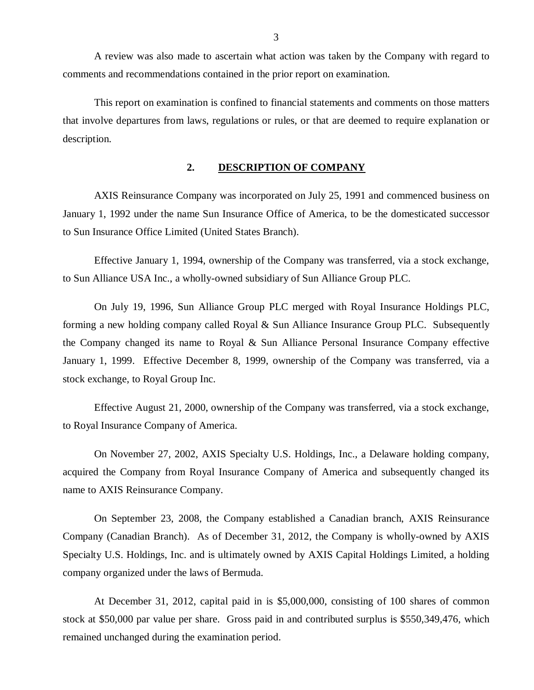<span id="page-4-0"></span>A review was also made to ascertain what action was taken by the Company with regard to comments and recommendations contained in the prior report on examination.

This report on examination is confined to financial statements and comments on those matters that involve departures from laws, regulations or rules, or that are deemed to require explanation or description.

#### **2. DESCRIPTION OF COMPANY**

AXIS Reinsurance Company was incorporated on July 25, 1991 and commenced business on January 1, 1992 under the name Sun Insurance Office of America, to be the domesticated successor to Sun Insurance Office Limited (United States Branch).

Effective January 1, 1994, ownership of the Company was transferred, via a stock exchange, to Sun Alliance USA Inc., a wholly-owned subsidiary of Sun Alliance Group PLC.

On July 19, 1996, Sun Alliance Group PLC merged with Royal Insurance Holdings PLC, forming a new holding company called Royal & Sun Alliance Insurance Group PLC. Subsequently the Company changed its name to Royal & Sun Alliance Personal Insurance Company effective January 1, 1999. Effective December 8, 1999, ownership of the Company was transferred, via a stock exchange, to Royal Group Inc.

Effective August 21, 2000, ownership of the Company was transferred, via a stock exchange, to Royal Insurance Company of America.

On November 27, 2002, AXIS Specialty U.S. Holdings, Inc., a Delaware holding company, acquired the Company from Royal Insurance Company of America and subsequently changed its name to AXIS Reinsurance Company.

On September 23, 2008, the Company established a Canadian branch, AXIS Reinsurance Company (Canadian Branch). As of December 31, 2012, the Company is wholly-owned by AXIS Specialty U.S. Holdings, Inc. and is ultimately owned by AXIS Capital Holdings Limited, a holding company organized under the laws of Bermuda.

At December 31, 2012, capital paid in is \$5,000,000, consisting of 100 shares of common stock at \$50,000 par value per share. Gross paid in and contributed surplus is \$550,349,476, which remained unchanged during the examination period.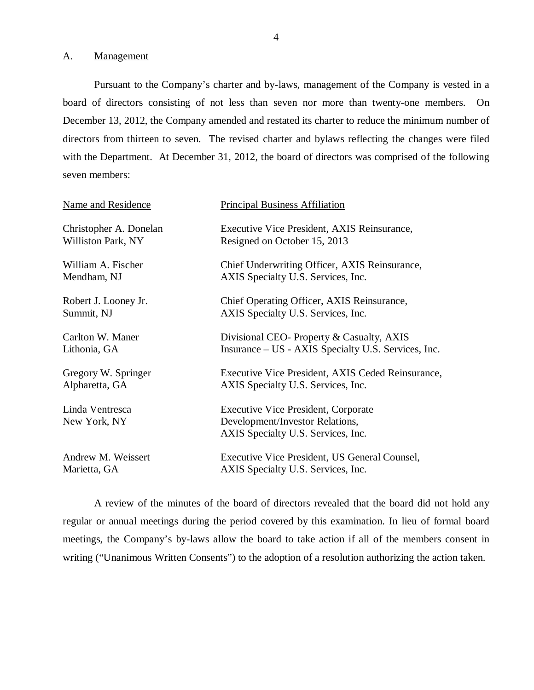A. Management

Pursuant to the Company's charter and by-laws, management of the Company is vested in a board of directors consisting of not less than seven nor more than twenty-one members. On December 13, 2012, the Company amended and restated its charter to reduce the minimum number of directors from thirteen to seven. The revised charter and bylaws reflecting the changes were filed with the Department. At December 31, 2012, the board of directors was comprised of the following seven members:

| Name and Residence              | <b>Principal Business Affiliation</b>                                                                               |
|---------------------------------|---------------------------------------------------------------------------------------------------------------------|
| Christopher A. Donelan          | Executive Vice President, AXIS Reinsurance,                                                                         |
| Williston Park, NY              | Resigned on October 15, 2013                                                                                        |
| William A. Fischer              | Chief Underwriting Officer, AXIS Reinsurance,                                                                       |
| Mendham, NJ                     | AXIS Specialty U.S. Services, Inc.                                                                                  |
| Robert J. Looney Jr.            | Chief Operating Officer, AXIS Reinsurance,                                                                          |
| Summit, NJ                      | AXIS Specialty U.S. Services, Inc.                                                                                  |
| Carlton W. Maner                | Divisional CEO- Property & Casualty, AXIS                                                                           |
| Lithonia, GA                    | Insurance – US - AXIS Specialty U.S. Services, Inc.                                                                 |
| Gregory W. Springer             | Executive Vice President, AXIS Ceded Reinsurance,                                                                   |
| Alpharetta, GA                  | AXIS Specialty U.S. Services, Inc.                                                                                  |
| Linda Ventresca<br>New York, NY | <b>Executive Vice President, Corporate</b><br>Development/Investor Relations,<br>AXIS Specialty U.S. Services, Inc. |
| Andrew M. Weissert              | Executive Vice President, US General Counsel,                                                                       |
| Marietta, GA                    | AXIS Specialty U.S. Services, Inc.                                                                                  |

A review of the minutes of the board of directors revealed that the board did not hold any regular or annual meetings during the period covered by this examination. In lieu of formal board meetings, the Company's by-laws allow the board to take action if all of the members consent in writing ("Unanimous Written Consents") to the adoption of a resolution authorizing the action taken.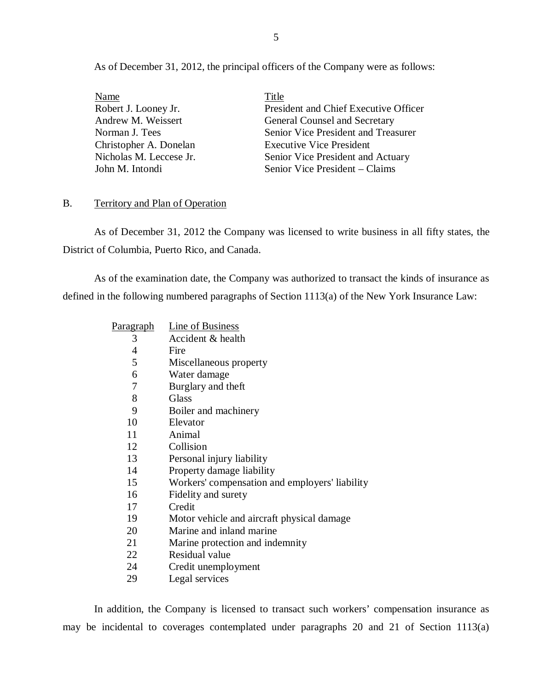<span id="page-6-0"></span>As of December 31, 2012, the principal officers of the Company were as follows:

| <u>Name</u>             | Title                                 |
|-------------------------|---------------------------------------|
| Robert J. Looney Jr.    | President and Chief Executive Officer |
| Andrew M. Weissert      | <b>General Counsel and Secretary</b>  |
| Norman J. Tees          | Senior Vice President and Treasurer   |
| Christopher A. Donelan  | <b>Executive Vice President</b>       |
| Nicholas M. Leccese Jr. | Senior Vice President and Actuary     |
| John M. Intondi         | Senior Vice President – Claims        |

### B. Territory and Plan of Operation

As of December 31, 2012 the Company was licensed to write business in all fifty states, the District of Columbia, Puerto Rico, and Canada.

As of the examination date, the Company was authorized to transact the kinds of insurance as defined in the following numbered paragraphs of Section 1113(a) of the New York Insurance Law:

| <u>Paragraph</u> | Line of Business                               |
|------------------|------------------------------------------------|
| 3                | Accident & health                              |
| 4                | Fire                                           |
| 5                | Miscellaneous property                         |
| 6                | Water damage                                   |
| 7                | Burglary and theft                             |
| 8                | Glass                                          |
| 9                | Boiler and machinery                           |
| 10               | Elevator                                       |
| 11               | Animal                                         |
| 12               | Collision                                      |
| 13               | Personal injury liability                      |
| 14               | Property damage liability                      |
| 15               | Workers' compensation and employers' liability |
| 16               | Fidelity and surety                            |
| 17               | Credit                                         |
| 19               | Motor vehicle and aircraft physical damage     |
| 20               | Marine and inland marine                       |
| 21               | Marine protection and indemnity                |
| 22               | Residual value                                 |
| 24               | Credit unemployment                            |

29 Legal services

In addition, the Company is licensed to transact such workers' compensation insurance as may be incidental to coverages contemplated under paragraphs 20 and 21 of Section 1113(a)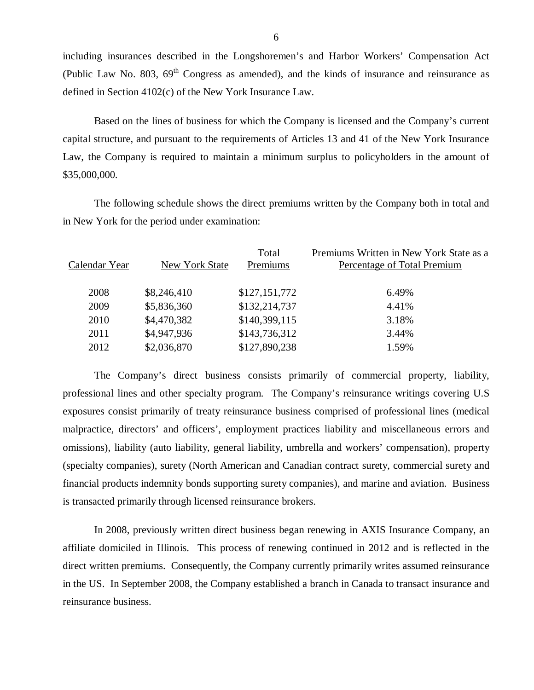including insurances described in the Longshoremen's and Harbor Workers' Compensation Act (Public Law No. 803,  $69<sup>th</sup>$  Congress as amended), and the kinds of insurance and reinsurance as defined in Section 4102(c) of the New York Insurance Law.

Based on the lines of business for which the Company is licensed and the Company's current capital structure, and pursuant to the requirements of Articles 13 and 41 of the New York Insurance Law, the Company is required to maintain a minimum surplus to policyholders in the amount of \$35,000,000.

The following schedule shows the direct premiums written by the Company both in total and in New York for the period under examination:

| Calendar Year | New York State | Total<br>Premiums | Premiums Written in New York State as a<br>Percentage of Total Premium |
|---------------|----------------|-------------------|------------------------------------------------------------------------|
| 2008          | \$8,246,410    | \$127,151,772     | 6.49%                                                                  |
| 2009          | \$5,836,360    | \$132,214,737     | 4.41%                                                                  |
| 2010          | \$4,470,382    | \$140,399,115     | 3.18%                                                                  |
| 2011          | \$4,947,936    | \$143,736,312     | 3.44%                                                                  |
| 2012          | \$2,036,870    | \$127,890,238     | 1.59%                                                                  |
|               |                |                   |                                                                        |

The Company's direct business consists primarily of commercial property, liability, professional lines and other specialty program. The Company's reinsurance writings covering U.S exposures consist primarily of treaty reinsurance business comprised of professional lines (medical malpractice, directors' and officers', employment practices liability and miscellaneous errors and omissions), liability (auto liability, general liability, umbrella and workers' compensation), property (specialty companies), surety (North American and Canadian contract surety, commercial surety and financial products indemnity bonds supporting surety companies), and marine and aviation. Business is transacted primarily through licensed reinsurance brokers.

In 2008, previously written direct business began renewing in AXIS Insurance Company, an affiliate domiciled in Illinois. This process of renewing continued in 2012 and is reflected in the direct written premiums. Consequently, the Company currently primarily writes assumed reinsurance in the US. In September 2008, the Company established a branch in Canada to transact insurance and reinsurance business.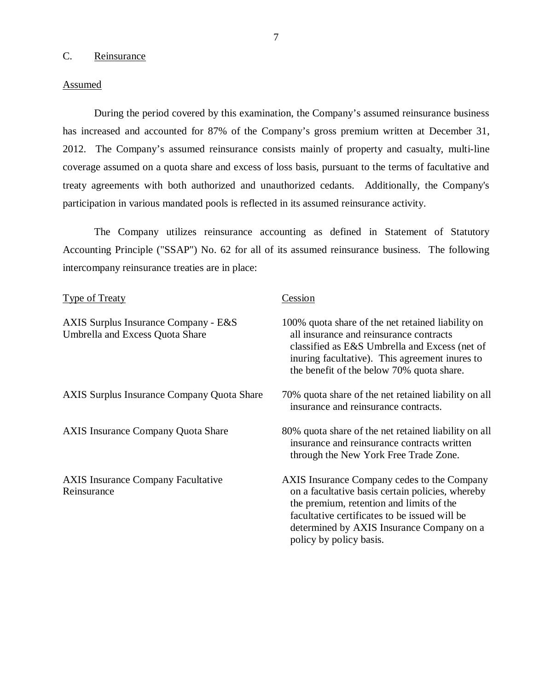### C. Reinsurance

#### **Assumed**

During the period covered by this examination, the Company's assumed reinsurance business has increased and accounted for 87% of the Company's gross premium written at December 31, 2012. The Company's assumed reinsurance consists mainly of property and casualty, multi-line coverage assumed on a quota share and excess of loss basis, pursuant to the terms of facultative and treaty agreements with both authorized and unauthorized cedants. Additionally, the Company's participation in various mandated pools is reflected in its assumed reinsurance activity.

The Company utilizes reinsurance accounting as defined in Statement of Statutory Accounting Principle ("SSAP") No. 62 for all of its assumed reinsurance business. The following intercompany reinsurance treaties are in place:

| Type of Treaty                                                                 | Cession                                                                                                                                                                                                                                                              |
|--------------------------------------------------------------------------------|----------------------------------------------------------------------------------------------------------------------------------------------------------------------------------------------------------------------------------------------------------------------|
| AXIS Surplus Insurance Company - E&S<br><b>Umbrella and Excess Quota Share</b> | 100% quota share of the net retained liability on<br>all insurance and reinsurance contracts<br>classified as E&S Umbrella and Excess (net of<br>inuring facultative). This agreement inures to<br>the benefit of the below 70% quota share.                         |
| <b>AXIS Surplus Insurance Company Quota Share</b>                              | 70% quota share of the net retained liability on all<br>insurance and reinsurance contracts.                                                                                                                                                                         |
| <b>AXIS Insurance Company Quota Share</b>                                      | 80% quota share of the net retained liability on all<br>insurance and reinsurance contracts written<br>through the New York Free Trade Zone.                                                                                                                         |
| <b>AXIS Insurance Company Facultative</b><br>Reinsurance                       | AXIS Insurance Company cedes to the Company<br>on a facultative basis certain policies, whereby<br>the premium, retention and limits of the<br>facultative certificates to be issued will be<br>determined by AXIS Insurance Company on a<br>policy by policy basis. |

7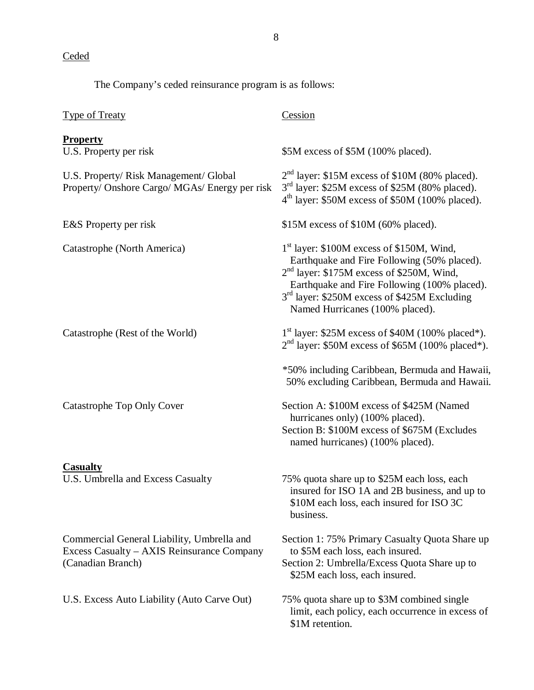**Ceded** 

The Company's ceded reinsurance program is as follows:

| <b>Type of Treaty</b>                                                                                         | Cession                                                                                                                                                                                                                                                                                                      |
|---------------------------------------------------------------------------------------------------------------|--------------------------------------------------------------------------------------------------------------------------------------------------------------------------------------------------------------------------------------------------------------------------------------------------------------|
| <b>Property</b><br>U.S. Property per risk                                                                     | \$5M excess of \$5M (100% placed).                                                                                                                                                                                                                                                                           |
| U.S. Property/ Risk Management/ Global<br>Property/ Onshore Cargo/ MGAs/ Energy per risk                      | $2nd$ layer: \$15M excess of \$10M (80% placed).<br>3 <sup>rd</sup> layer: \$25M excess of \$25M (80% placed).<br>4 <sup>th</sup> layer: \$50M excess of \$50M (100% placed).                                                                                                                                |
| E&S Property per risk                                                                                         | \$15M excess of \$10M (60% placed).                                                                                                                                                                                                                                                                          |
| Catastrophe (North America)                                                                                   | 1 <sup>st</sup> layer: \$100M excess of \$150M, Wind,<br>Earthquake and Fire Following (50% placed).<br>2 <sup>nd</sup> layer: \$175M excess of \$250M, Wind,<br>Earthquake and Fire Following (100% placed).<br>3 <sup>rd</sup> layer: \$250M excess of \$425M Excluding<br>Named Hurricanes (100% placed). |
| Catastrophe (Rest of the World)                                                                               | $1st$ layer: \$25M excess of \$40M (100% placed*).<br>$2nd$ layer: \$50M excess of \$65M (100% placed*).                                                                                                                                                                                                     |
|                                                                                                               | *50% including Caribbean, Bermuda and Hawaii,<br>50% excluding Caribbean, Bermuda and Hawaii.                                                                                                                                                                                                                |
| Catastrophe Top Only Cover                                                                                    | Section A: \$100M excess of \$425M (Named<br>hurricanes only) (100% placed).<br>Section B: \$100M excess of \$675M (Excludes<br>named hurricanes) (100% placed).                                                                                                                                             |
| <b>Casualty</b><br>U.S. Umbrella and Excess Casualty                                                          | 75% quota share up to \$25M each loss, each<br>insured for ISO 1A and 2B business, and up to<br>\$10M each loss, each insured for ISO 3C<br>business.                                                                                                                                                        |
| Commercial General Liability, Umbrella and<br>Excess Casualty – AXIS Reinsurance Company<br>(Canadian Branch) | Section 1: 75% Primary Casualty Quota Share up<br>to \$5M each loss, each insured.<br>Section 2: Umbrella/Excess Quota Share up to<br>\$25M each loss, each insured.                                                                                                                                         |
| U.S. Excess Auto Liability (Auto Carve Out)                                                                   | 75% quota share up to \$3M combined single<br>limit, each policy, each occurrence in excess of<br>\$1M retention.                                                                                                                                                                                            |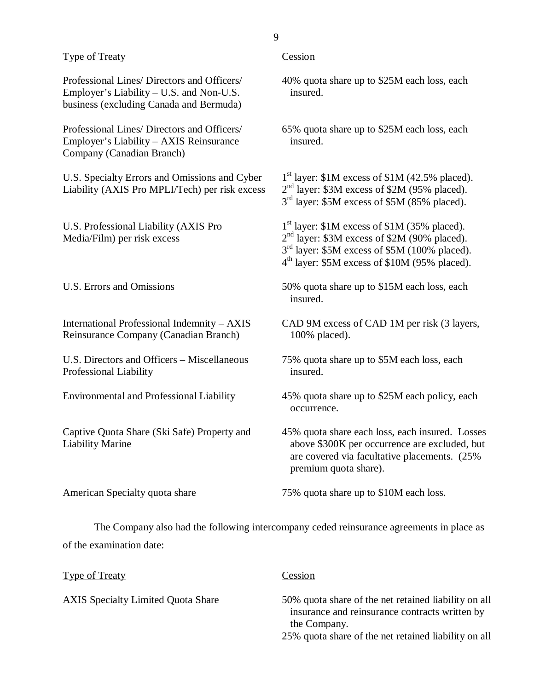#### Type of Treaty Cession

Professional Lines/ Directors and Officers/ Employer's Liability – U.S. and Non-U.S. business (excluding Canada and Bermuda)

Professional Lines/ Directors and Officers/ Employer's Liability – AXIS Reinsurance Company (Canadian Branch)

U.S. Specialty Errors and Omissions and Cyber Liability (AXIS Pro MPLI/Tech) per risk excess

U.S. Professional Liability (AXIS Pro Media/Film) per risk excess

U.S. Errors and Omissions

International Professional Indemnity – AXIS Reinsurance Company (Canadian Branch)

U.S. Directors and Officers – Miscellaneous Professional Liability

Environmental and Professional Liability

Captive Quota Share (Ski Safe) Property and Liability Marine

40% quota share up to \$25M each loss, each insured.

65% quota share up to \$25M each loss, each insured.

 $1<sup>st</sup>$  layer: \$1M excess of \$1M (42.5% placed). 2<sup>nd</sup> layer: \$3M excess of \$2M (95% placed).  $3<sup>rd</sup>$  layer: \$5M excess of \$5M (85% placed).

 $1<sup>st</sup>$  layer: \$1M excess of \$1M (35% placed).  $2<sup>nd</sup>$  layer: \$3M excess of \$2M (90% placed).  $3<sup>rd</sup>$  layer: \$5M excess of \$5M (100% placed).  $4<sup>th</sup>$  layer: \$5M excess of \$10M (95% placed).

50% quota share up to \$15M each loss, each insured.

CAD 9M excess of CAD 1M per risk (3 layers, 100% placed).

75% quota share up to \$5M each loss, each insured.

45% quota share up to \$25M each policy, each occurrence.

45% quota share each loss, each insured. Losses above \$300K per occurrence are excluded, but are covered via facultative placements. (25% premium quota share).

American Specialty quota share

75% quota share up to \$10M each loss.

The Company also had the following intercompany ceded reinsurance agreements in place as of the examination date:

Type of Treaty

AXIS Specialty Limited Quota Share

#### Cession

50% quota share of the net retained liability on all insurance and reinsurance contracts written by the Company.

25% quota share of the net retained liability on all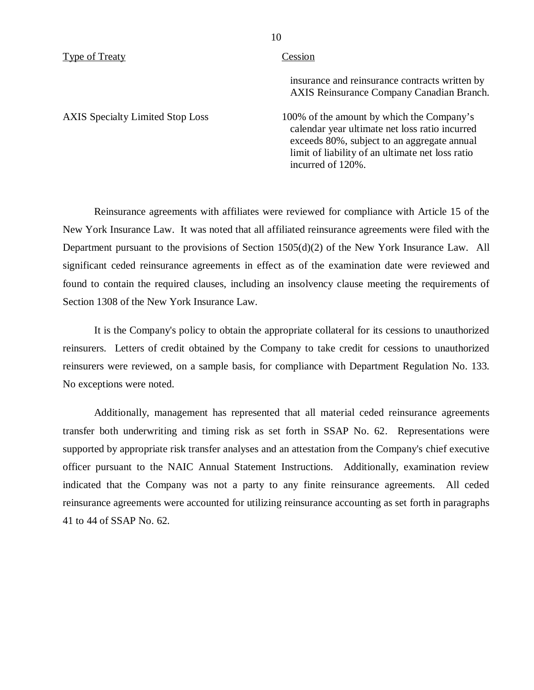#### Type of Treaty Cession

insurance and reinsurance contracts written by AXIS Reinsurance Company Canadian Branch.

AXIS Specialty Limited Stop Loss 100% of the amount by which the Company's calendar year ultimate net loss ratio incurred exceeds 80%, subject to an aggregate annual limit of liability of an ultimate net loss ratio incurred of 120%.

Reinsurance agreements with affiliates were reviewed for compliance with Article 15 of the New York Insurance Law. It was noted that all affiliated reinsurance agreements were filed with the Department pursuant to the provisions of Section 1505(d)(2) of the New York Insurance Law. All significant ceded reinsurance agreements in effect as of the examination date were reviewed and found to contain the required clauses, including an insolvency clause meeting the requirements of Section 1308 of the New York Insurance Law.

It is the Company's policy to obtain the appropriate collateral for its cessions to unauthorized reinsurers. Letters of credit obtained by the Company to take credit for cessions to unauthorized reinsurers were reviewed, on a sample basis, for compliance with Department Regulation No. 133. No exceptions were noted.

Additionally, management has represented that all material ceded reinsurance agreements transfer both underwriting and timing risk as set forth in SSAP No. 62. Representations were supported by appropriate risk transfer analyses and an attestation from the Company's chief executive officer pursuant to the NAIC Annual Statement Instructions. Additionally, examination review indicated that the Company was not a party to any finite reinsurance agreements. All ceded reinsurance agreements were accounted for utilizing reinsurance accounting as set forth in paragraphs 41 to 44 of SSAP No. 62.

10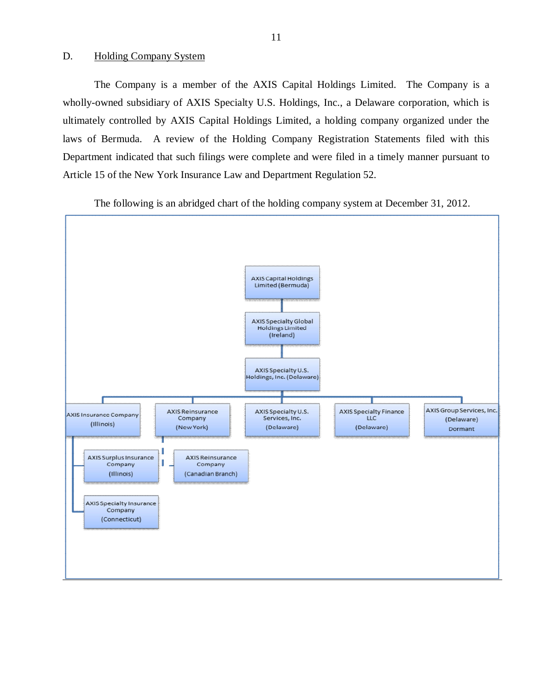#### <span id="page-12-0"></span>D. Holding Company System

The Company is a member of the AXIS Capital Holdings Limited. The Company is a wholly-owned subsidiary of AXIS Specialty U.S. Holdings, Inc., a Delaware corporation, which is ultimately controlled by AXIS Capital Holdings Limited, a holding company organized under the laws of Bermuda. A review of the Holding Company Registration Statements filed with this Department indicated that such filings were complete and were filed in a timely manner pursuant to Article 15 of the New York Insurance Law and Department Regulation 52.

The following is an abridged chart of the holding company system at December 31, 2012.

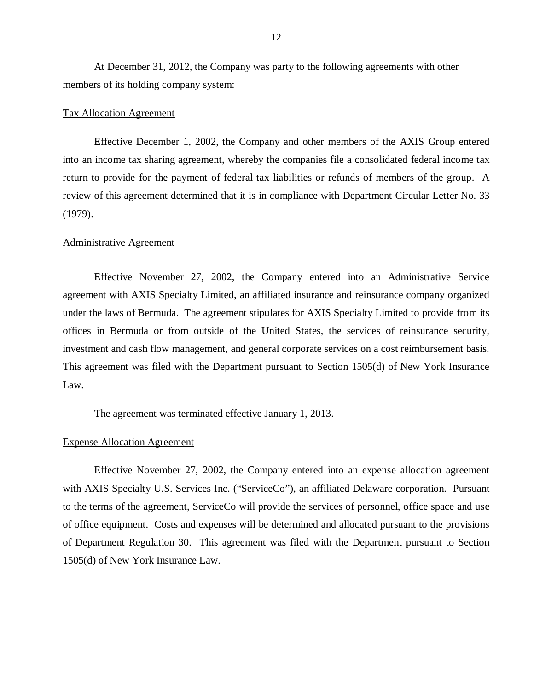At December 31, 2012, the Company was party to the following agreements with other members of its holding company system:

#### Tax Allocation Agreement

Effective December 1, 2002, the Company and other members of the AXIS Group entered into an income tax sharing agreement, whereby the companies file a consolidated federal income tax return to provide for the payment of federal tax liabilities or refunds of members of the group. A review of this agreement determined that it is in compliance with Department Circular Letter No. 33 (1979).

#### Administrative Agreement

Effective November 27, 2002, the Company entered into an Administrative Service agreement with AXIS Specialty Limited, an affiliated insurance and reinsurance company organized under the laws of Bermuda. The agreement stipulates for AXIS Specialty Limited to provide from its offices in Bermuda or from outside of the United States, the services of reinsurance security, investment and cash flow management, and general corporate services on a cost reimbursement basis. This agreement was filed with the Department pursuant to Section 1505(d) of New York Insurance Law.

The agreement was terminated effective January 1, 2013.

#### Expense Allocation Agreement

Effective November 27, 2002, the Company entered into an expense allocation agreement with AXIS Specialty U.S. Services Inc. ("ServiceCo"), an affiliated Delaware corporation. Pursuant to the terms of the agreement, ServiceCo will provide the services of personnel, office space and use of office equipment. Costs and expenses will be determined and allocated pursuant to the provisions of Department Regulation 30. This agreement was filed with the Department pursuant to Section 1505(d) of New York Insurance Law.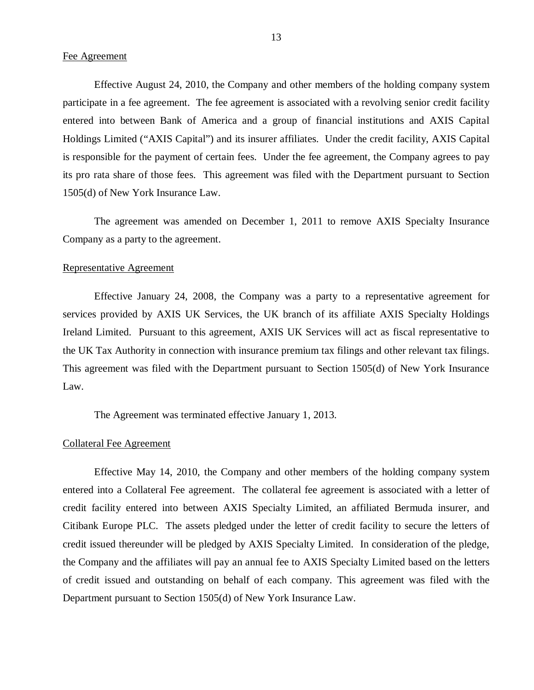Effective August 24, 2010, the Company and other members of the holding company system participate in a fee agreement. The fee agreement is associated with a revolving senior credit facility entered into between Bank of America and a group of financial institutions and AXIS Capital Holdings Limited ("AXIS Capital") and its insurer affiliates. Under the credit facility, AXIS Capital is responsible for the payment of certain fees. Under the fee agreement, the Company agrees to pay its pro rata share of those fees. This agreement was filed with the Department pursuant to Section 1505(d) of New York Insurance Law.

The agreement was amended on December 1, 2011 to remove AXIS Specialty Insurance Company as a party to the agreement.

#### Representative Agreement

Effective January 24, 2008, the Company was a party to a representative agreement for services provided by AXIS UK Services, the UK branch of its affiliate AXIS Specialty Holdings Ireland Limited. Pursuant to this agreement, AXIS UK Services will act as fiscal representative to the UK Tax Authority in connection with insurance premium tax filings and other relevant tax filings. This agreement was filed with the Department pursuant to Section 1505(d) of New York Insurance Law.

The Agreement was terminated effective January 1, 2013.

#### Collateral Fee Agreement

Effective May 14, 2010, the Company and other members of the holding company system entered into a Collateral Fee agreement. The collateral fee agreement is associated with a letter of credit facility entered into between AXIS Specialty Limited, an affiliated Bermuda insurer, and Citibank Europe PLC. The assets pledged under the letter of credit facility to secure the letters of credit issued thereunder will be pledged by AXIS Specialty Limited. In consideration of the pledge, the Company and the affiliates will pay an annual fee to AXIS Specialty Limited based on the letters of credit issued and outstanding on behalf of each company. This agreement was filed with the Department pursuant to Section 1505(d) of New York Insurance Law.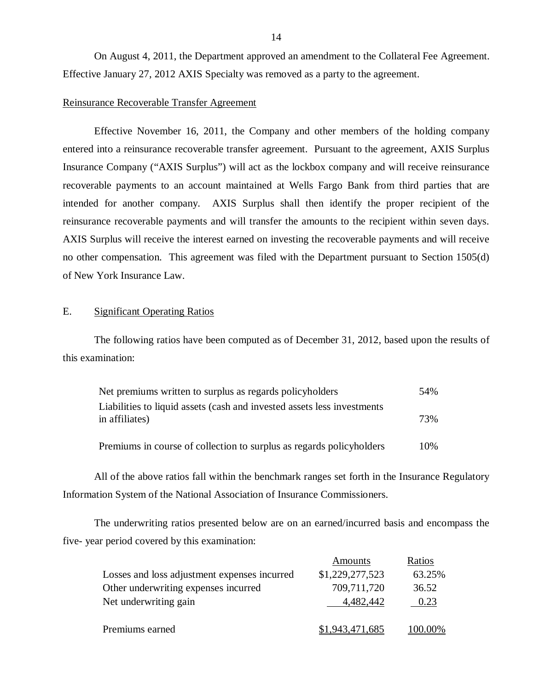On August 4, 2011, the Department approved an amendment to the Collateral Fee Agreement. Effective January 27, 2012 AXIS Specialty was removed as a party to the agreement.

#### Reinsurance Recoverable Transfer Agreement

Effective November 16, 2011, the Company and other members of the holding company entered into a reinsurance recoverable transfer agreement. Pursuant to the agreement, AXIS Surplus Insurance Company ("AXIS Surplus") will act as the lockbox company and will receive reinsurance recoverable payments to an account maintained at Wells Fargo Bank from third parties that are intended for another company. AXIS Surplus shall then identify the proper recipient of the reinsurance recoverable payments and will transfer the amounts to the recipient within seven days. AXIS Surplus will receive the interest earned on investing the recoverable payments and will receive no other compensation. This agreement was filed with the Department pursuant to Section 1505(d) of New York Insurance Law.

#### E. Significant Operating Ratios

The following ratios have been computed as of December 31, 2012, based upon the results of this examination:

| Net premiums written to surplus as regards policyholders                                  | 54% |
|-------------------------------------------------------------------------------------------|-----|
| Liabilities to liquid assets (cash and invested assets less investments<br>in affiliates) | 73% |
| Premiums in course of collection to surplus as regards policyholders                      | 10% |

All of the above ratios fall within the benchmark ranges set forth in the Insurance Regulatory Information System of the National Association of Insurance Commissioners.

The underwriting ratios presented below are on an earned/incurred basis and encompass the five- year period covered by this examination:

|                                              | Amounts         | Ratios      |
|----------------------------------------------|-----------------|-------------|
| Losses and loss adjustment expenses incurred | \$1,229,277,523 | 63.25%      |
| Other underwriting expenses incurred         | 709,711,720     | 36.52       |
| Net underwriting gain                        | 4.482.442       | 0.23        |
|                                              |                 |             |
| Premiums earned                              | \$1,943,471,685 | $(00.00\%)$ |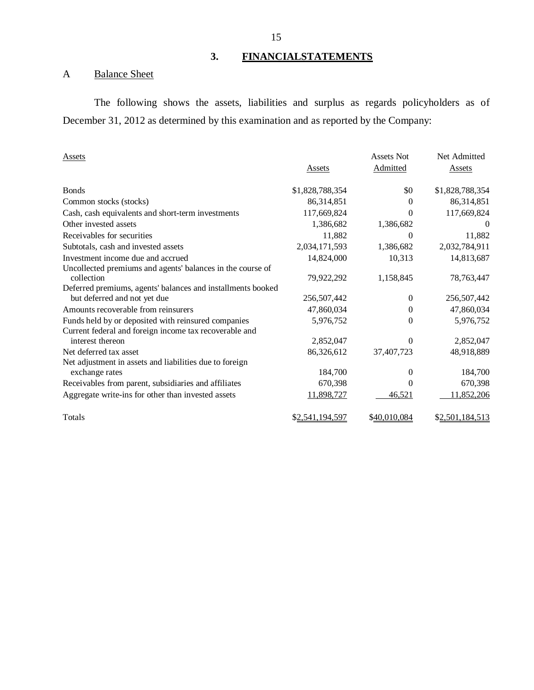### **3. FINANCIALSTATEMENTS**

## A Balance Sheet

The following shows the assets, liabilities and surplus as regards policyholders as of December 31, 2012 as determined by this examination and as reported by the Company:

| Assets                                                      |                 | <b>Assets Not</b> | Net Admitted    |
|-------------------------------------------------------------|-----------------|-------------------|-----------------|
|                                                             | <b>Assets</b>   | Admitted          | <b>Assets</b>   |
| <b>Bonds</b>                                                | \$1,828,788,354 | \$0               | \$1,828,788,354 |
| Common stocks (stocks)                                      | 86,314,851      | $\theta$          | 86,314,851      |
| Cash, cash equivalents and short-term investments           | 117,669,824     | 0                 | 117,669,824     |
| Other invested assets                                       | 1,386,682       | 1,386,682         | $\theta$        |
| Receivables for securities                                  | 11,882          | 0                 | 11,882          |
| Subtotals, cash and invested assets                         | 2,034,171,593   | 1,386,682         | 2,032,784,911   |
| Investment income due and accrued                           | 14,824,000      | 10,313            | 14,813,687      |
| Uncollected premiums and agents' balances in the course of  |                 |                   |                 |
| collection                                                  | 79,922,292      | 1,158,845         | 78,763,447      |
| Deferred premiums, agents' balances and installments booked |                 |                   |                 |
| but deferred and not yet due                                | 256,507,442     | $\Omega$          | 256,507,442     |
| Amounts recoverable from reinsurers                         | 47,860,034      | 0                 | 47,860,034      |
| Funds held by or deposited with reinsured companies         | 5,976,752       | $\Omega$          | 5,976,752       |
| Current federal and foreign income tax recoverable and      |                 |                   |                 |
| interest thereon                                            | 2,852,047       | $\Omega$          | 2,852,047       |
| Net deferred tax asset                                      | 86,326,612      | 37,407,723        | 48,918,889      |
| Net adjustment in assets and liabilities due to foreign     |                 |                   |                 |
| exchange rates                                              | 184,700         | $\theta$          | 184,700         |
| Receivables from parent, subsidiaries and affiliates        | 670,398         | $\Omega$          | 670,398         |
| Aggregate write-ins for other than invested assets          | 11,898,727      | 46,521            | 11,852,206      |
| Totals                                                      | \$2,541,194,597 | \$40,010,084      | \$2,501,184,513 |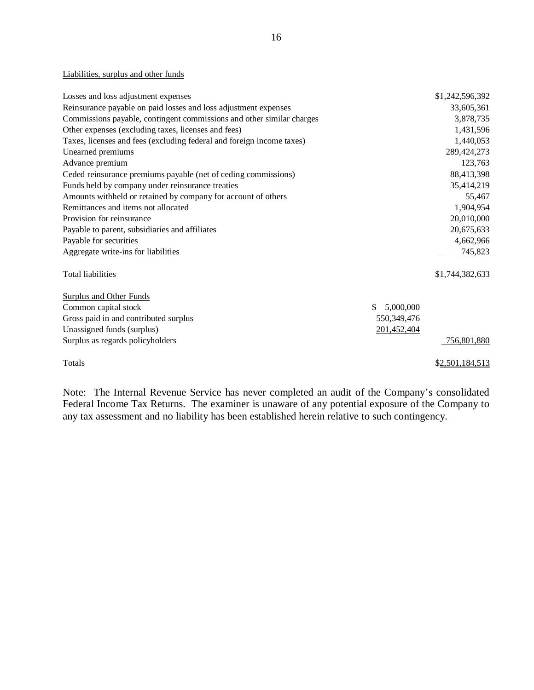#### Liabilities, surplus and other funds

| Losses and loss adjustment expenses                                   |                 | \$1,242,596,392 |
|-----------------------------------------------------------------------|-----------------|-----------------|
| Reinsurance payable on paid losses and loss adjustment expenses       |                 | 33,605,361      |
| Commissions payable, contingent commissions and other similar charges |                 | 3,878,735       |
| Other expenses (excluding taxes, licenses and fees)                   |                 | 1,431,596       |
| Taxes, licenses and fees (excluding federal and foreign income taxes) |                 | 1,440,053       |
| Unearned premiums                                                     |                 | 289,424,273     |
| Advance premium                                                       |                 | 123,763         |
| Ceded reinsurance premiums payable (net of ceding commissions)        |                 | 88,413,398      |
| Funds held by company under reinsurance treaties                      |                 | 35,414,219      |
| Amounts withheld or retained by company for account of others         |                 | 55,467          |
| Remittances and items not allocated                                   |                 | 1,904,954       |
| Provision for reinsurance                                             |                 | 20,010,000      |
| Payable to parent, subsidiaries and affiliates                        |                 | 20,675,633      |
| Payable for securities                                                |                 | 4,662,966       |
| Aggregate write-ins for liabilities                                   |                 | 745,823         |
| Total liabilities                                                     |                 | \$1,744,382,633 |
| Surplus and Other Funds                                               |                 |                 |
| Common capital stock                                                  | \$<br>5,000,000 |                 |
| Gross paid in and contributed surplus                                 | 550, 349, 476   |                 |
| Unassigned funds (surplus)                                            | 201,452,404     |                 |
| Surplus as regards policyholders                                      |                 | 756,801,880     |
| Totals                                                                |                 | \$2,501,184,513 |

Note: The Internal Revenue Service has never completed an audit of the Company's consolidated Federal Income Tax Returns. The examiner is unaware of any potential exposure of the Company to any tax assessment and no liability has been established herein relative to such contingency.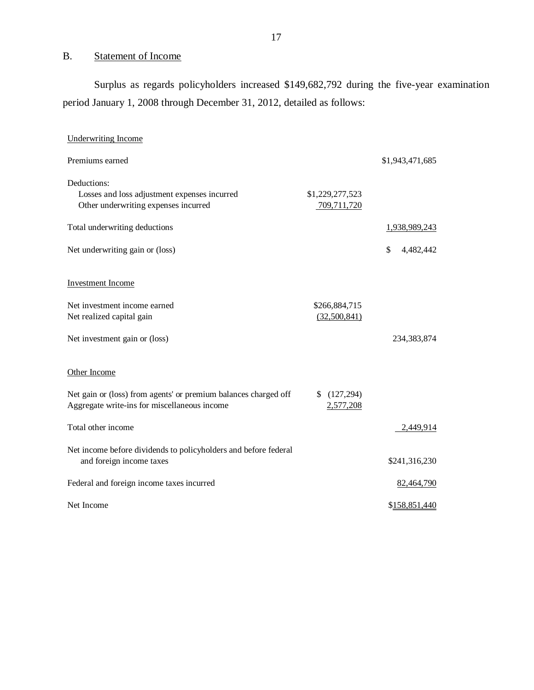### B. Statement of Income

Surplus as regards policyholders increased \$149,682,792 during the five-year examination period January 1, 2008 through December 31, 2012, detailed as follows:

| <b>Underwriting Income</b>                                                                                      |                                |                 |
|-----------------------------------------------------------------------------------------------------------------|--------------------------------|-----------------|
| Premiums earned                                                                                                 |                                | \$1,943,471,685 |
| Deductions:<br>Losses and loss adjustment expenses incurred<br>Other underwriting expenses incurred             | \$1,229,277,523<br>709,711,720 |                 |
| Total underwriting deductions                                                                                   |                                | 1,938,989,243   |
| Net underwriting gain or (loss)                                                                                 |                                | \$<br>4,482,442 |
| <b>Investment Income</b>                                                                                        |                                |                 |
| Net investment income earned<br>Net realized capital gain                                                       | \$266,884,715<br>(32,500,841)  |                 |
| Net investment gain or (loss)                                                                                   |                                | 234,383,874     |
| Other Income                                                                                                    |                                |                 |
| Net gain or (loss) from agents' or premium balances charged off<br>Aggregate write-ins for miscellaneous income | (127,294)<br>2,577,208         |                 |
| Total other income                                                                                              |                                | 2,449,914       |
| Net income before dividends to policyholders and before federal<br>and foreign income taxes                     |                                | \$241,316,230   |
| Federal and foreign income taxes incurred                                                                       |                                | 82,464,790      |
| Net Income                                                                                                      |                                | \$158,851,440   |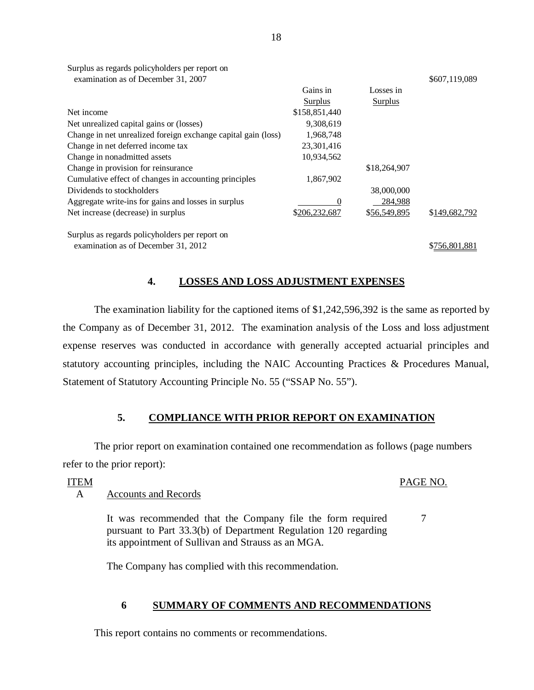| examination as of December 31, 2007                           |               |              | \$607,119,089 |
|---------------------------------------------------------------|---------------|--------------|---------------|
|                                                               | Gains in      | Losses in    |               |
|                                                               | Surplus       | Surplus      |               |
| Net income                                                    | \$158,851,440 |              |               |
| Net unrealized capital gains or (losses)                      | 9,308,619     |              |               |
| Change in net unrealized foreign exchange capital gain (loss) | 1,968,748     |              |               |
| Change in net deferred income tax                             | 23,301,416    |              |               |
| Change in nonadmitted assets                                  | 10,934,562    |              |               |
| Change in provision for reinsurance                           |               | \$18,264,907 |               |
| Cumulative effect of changes in accounting principles         | 1,867,902     |              |               |
| Dividends to stockholders                                     |               | 38,000,000   |               |
| Aggregate write-ins for gains and losses in surplus           | $\theta$      | 284,988      |               |
| Net increase (decrease) in surplus                            | \$206,232,687 | \$56,549,895 | \$149,682,792 |
| Surplus as regards policyholders per report on                |               |              |               |
| examination as of December 31, 2012                           |               |              | \$756,801,881 |

**4. LOSSES AND LOSS ADJUSTMENT EXPENSES** 

The examination liability for the captioned items of \$1,242,596,392 is the same as reported by the Company as of December 31, 2012. The examination analysis of the Loss and loss adjustment expense reserves was conducted in accordance with generally accepted actuarial principles and statutory accounting principles, including the NAIC Accounting Practices & Procedures Manual, Statement of Statutory Accounting Principle No. 55 ("SSAP No. 55").

#### **5. COMPLIANCE WITH PRIOR REPORT ON EXAMINATION**

The prior report on examination contained one recommendation as follows (page numbers refer to the prior report):

ITEM

#### PAGE NO.

7

A Accounts and Records

Surplus as regards policyholders per report on

It was recommended that the Company file the form required pursuant to Part 33.3(b) of Department Regulation 120 regarding its appointment of Sullivan and Strauss as an MGA.

The Company has complied with this recommendation.

#### **6 SUMMARY OF COMMENTS AND RECOMMENDATIONS**

This report contains no comments or recommendations.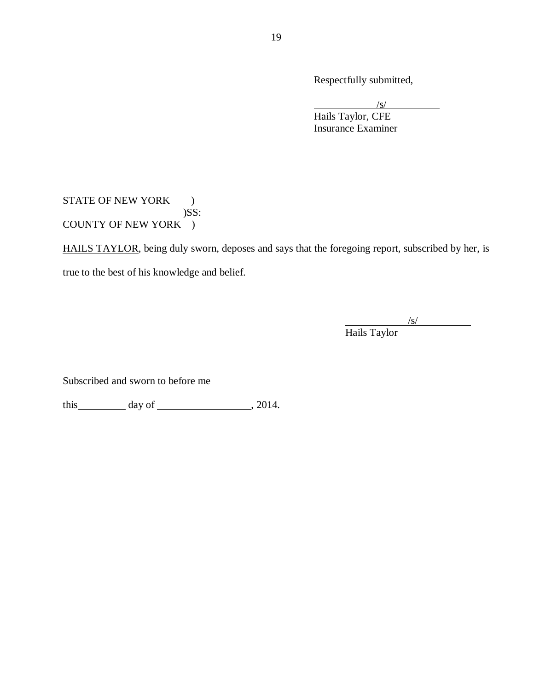Respectfully submitted,

 $\sqrt{s}$ / Hails Taylor, CFE Insurance Examiner

### STATE OF NEW YORK )  $)$ SS: COUNTY OF NEW YORK )

HAILS TAYLOR, being duly sworn, deposes and says that the foregoing report, subscribed by her, is true to the best of his knowledge and belief.

> /s/ Hails Taylor

Subscribed and sworn to before me

 $this$  day of  $\_\_\_\_\_$ , 2014.